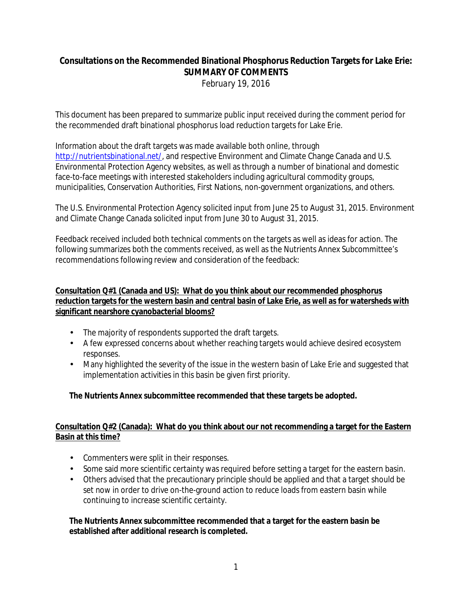# **Consultations on the Recommended Binational Phosphorus Reduction Targets for Lake Erie: SUMMARY OF COMMENTS** *February 19, 2016*

This document has been prepared to summarize public input received during the comment period for the recommended draft binational phosphorus load reduction targets for Lake Erie.

Information about the draft targets was made available both online, through [http://nutrientsbinational.net/,](http://nutrientsbinational.net/) and respective Environment and Climate Change Canada and U.S. Environmental Protection Agency websites, as well as through a number of binational and domestic face-to-face meetings with interested stakeholders including agricultural commodity groups, municipalities, Conservation Authorities, First Nations, non-government organizations, and others.

The U.S. Environmental Protection Agency solicited input from June 25 to August 31, 2015. Environment and Climate Change Canada solicited input from June 30 to August 31, 2015.

Feedback received included both technical comments on the targets as well as ideas for action. The following summarizes both the comments received, as well as the Nutrients Annex Subcommittee's recommendations following review and consideration of the feedback:

### **Consultation Q#1 (Canada and US): What do you think about our recommended phosphorus reduction targets for the western basin and central basin of Lake Erie, as well as for watersheds with significant nearshore cyanobacterial blooms?**

- The majority of respondents supported the draft targets.
- A few expressed concerns about whether reaching targets would achieve desired ecosystem responses.
- Many highlighted the severity of the issue in the western basin of Lake Erie and suggested that implementation activities in this basin be given first priority.

## **The Nutrients Annex subcommittee recommended that these targets be adopted.**

#### **Consultation Q#2 (Canada): What do you think about our not recommending a target for the Eastern Basin at this time?**

- Commenters were split in their responses.
- Some said more scientific certainty was required before setting a target for the eastern basin.
- Others advised that the precautionary principle should be applied and that a target should be set now in order to drive on-the-ground action to reduce loads from eastern basin while continuing to increase scientific certainty.

**The Nutrients Annex subcommittee recommended that a target for the eastern basin be established after additional research is completed.**